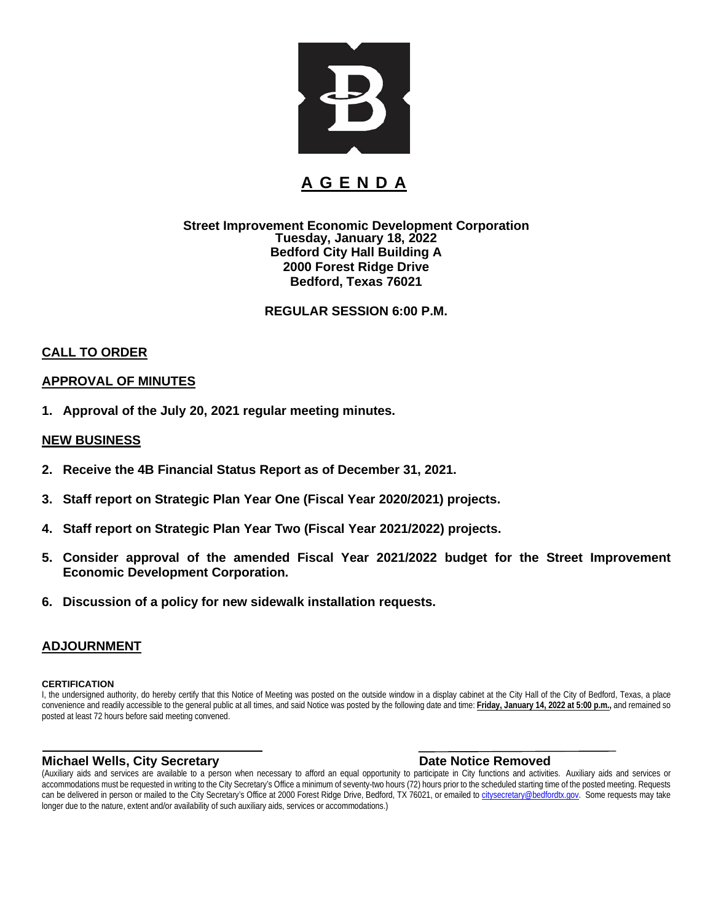

### **A G E N D A**

#### **Street Improvement Economic Development Corporation Tuesday, January 18, 2022 Bedford City Hall Building A 2000 Forest Ridge Drive Bedford, Texas 76021**

**REGULAR SESSION 6:00 P.M.**

#### **CALL TO ORDER**

#### **APPROVAL OF MINUTES**

**1. Approval of the July 20, 2021 regular meeting minutes.**

#### **NEW BUSINESS**

- **2. Receive the 4B Financial Status Report as of December 31, 2021.**
- **3. Staff report on Strategic Plan Year One (Fiscal Year 2020/2021) projects.**
- **4. Staff report on Strategic Plan Year Two (Fiscal Year 2021/2022) projects.**
- **5. Consider approval of the amended Fiscal Year 2021/2022 budget for the Street Improvement Economic Development Corporation.**
- **6. Discussion of a policy for new sidewalk installation requests.**

#### **ADJOURNMENT**

#### **CERTIFICATION**

I, the undersigned authority, do hereby certify that this Notice of Meeting was posted on the outside window in a display cabinet at the City Hall of the City of Bedford, Texas, a place convenience and readily accessible to the general public at all times, and said Notice was posted by the following date and time: **Friday, January 14, 2022 at 5:00 p.m.,** and remained so posted at least 72 hours before said meeting convened.

#### **Michael Wells, City Secretary Date Notice Removed**

(Auxiliary aids and services are available to a person when necessary to afford an equal opportunity to participate in City functions and activities. Auxiliary aids and services or accommodations must be requested in writing to the City Secretary's Office a minimum of seventy-two hours (72) hours prior to the scheduled starting time of the posted meeting. Requests can be delivered in person or mailed to the City Secretary's Office at 2000 Forest Ridge Drive, Bedford, TX 76021, or emailed to citysecretary@bedfordtx.gov. Some requests may take longer due to the nature, extent and/or availability of such auxiliary aids, services or accommodations.)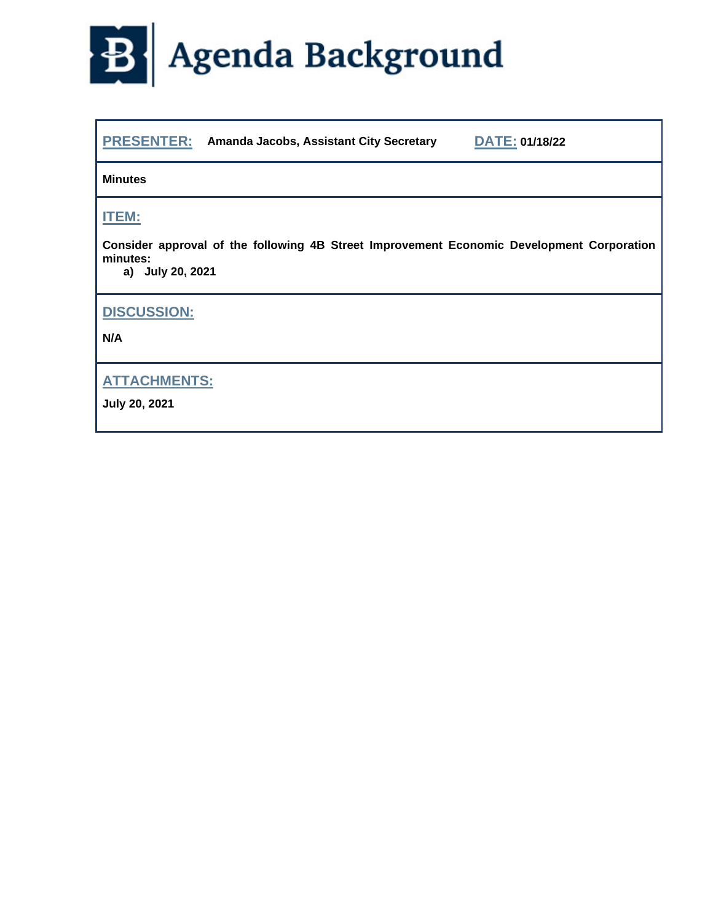

|  | <b>PRESENTER:</b> Amanda Jacobs, Assistant City Secretary | <b>DATE: 01/18/22</b> |
|--|-----------------------------------------------------------|-----------------------|
|--|-----------------------------------------------------------|-----------------------|

**Minutes**

**ITEM:**

**Consider approval of the following 4B Street Improvement Economic Development Corporation minutes:**

**a) July 20, 2021**

**DISCUSSION:**

**N/A**

**ATTACHMENTS:**

**July 20, 2021**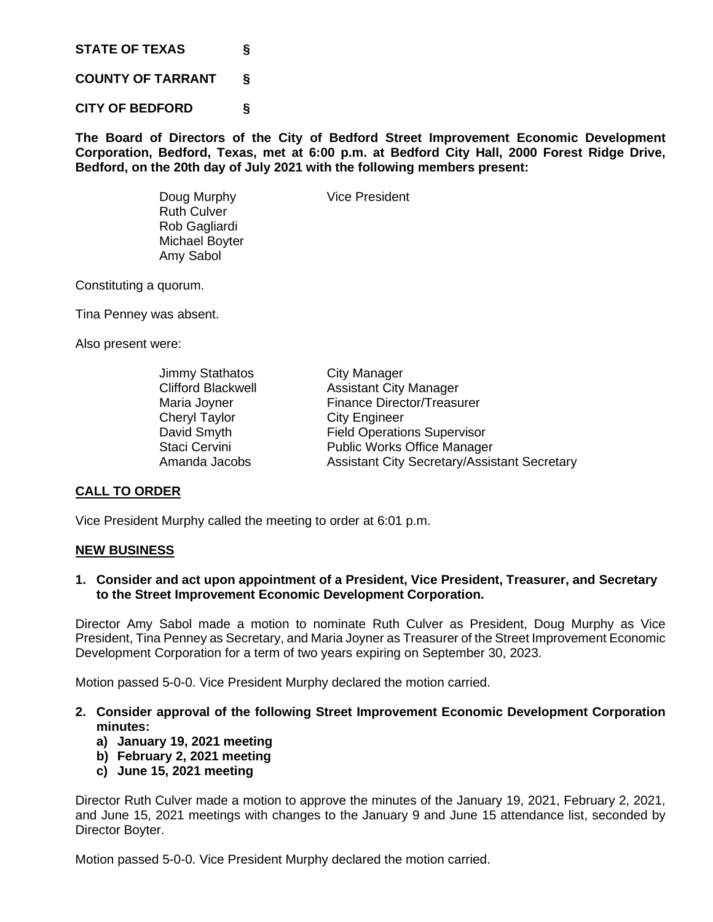**STATE OF TEXAS §**

**COUNTY OF TARRANT §**

**CITY OF BEDFORD §**

Ruth Culver Rob Gagliardi Michael Boyter Amy Sabol

**The Board of Directors of the City of Bedford Street Improvement Economic Development Corporation, Bedford, Texas, met at 6:00 p.m. at Bedford City Hall, 2000 Forest Ridge Drive, Bedford, on the 20th day of July 2021 with the following members present:**

Doug Murphy Vice President

Constituting a quorum.

Tina Penney was absent.

Also present were:

| <b>Jimmy Stathatos</b>    | City Manager                                        |
|---------------------------|-----------------------------------------------------|
| <b>Clifford Blackwell</b> | <b>Assistant City Manager</b>                       |
| Maria Joyner              | <b>Finance Director/Treasurer</b>                   |
| Cheryl Taylor             | <b>City Engineer</b>                                |
| David Smyth               | <b>Field Operations Supervisor</b>                  |
| Staci Cervini             | <b>Public Works Office Manager</b>                  |
| Amanda Jacobs             | <b>Assistant City Secretary/Assistant Secretary</b> |

#### **CALL TO ORDER**

Vice President Murphy called the meeting to order at 6:01 p.m.

#### **NEW BUSINESS**

**1. Consider and act upon appointment of a President, Vice President, Treasurer, and Secretary to the Street Improvement Economic Development Corporation.**

Director Amy Sabol made a motion to nominate Ruth Culver as President, Doug Murphy as Vice President, Tina Penney as Secretary, and Maria Joyner as Treasurer of the Street Improvement Economic Development Corporation for a term of two years expiring on September 30, 2023.

Motion passed 5-0-0. Vice President Murphy declared the motion carried.

- **2. Consider approval of the following Street Improvement Economic Development Corporation minutes:**
	- **a) January 19, 2021 meeting**
	- **b) February 2, 2021 meeting**
	- **c) June 15, 2021 meeting**

Director Ruth Culver made a motion to approve the minutes of the January 19, 2021, February 2, 2021, and June 15, 2021 meetings with changes to the January 9 and June 15 attendance list, seconded by Director Boyter.

Motion passed 5-0-0. Vice President Murphy declared the motion carried.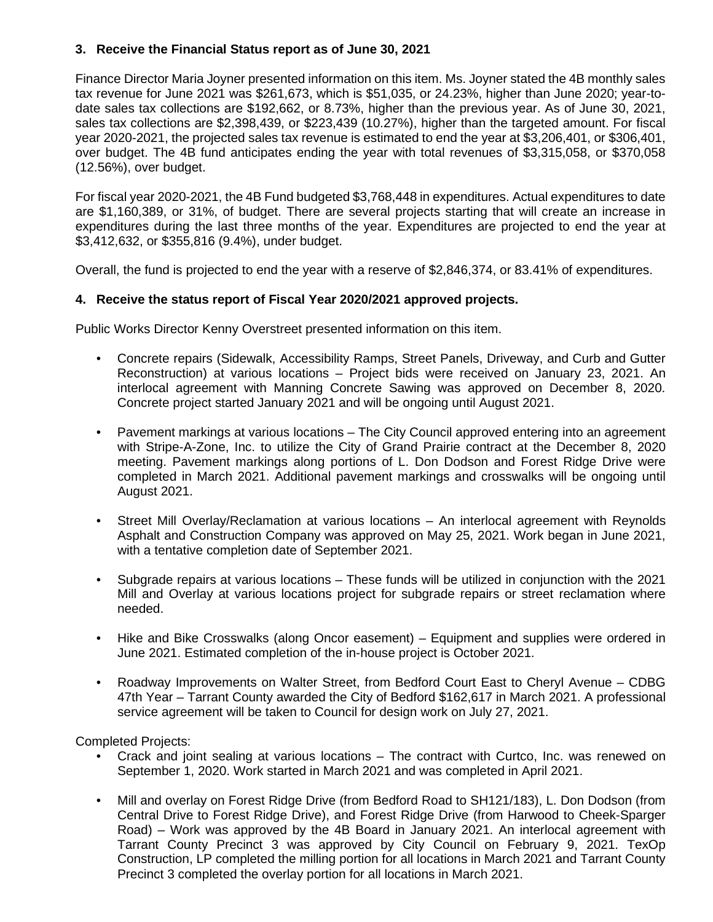#### **3. Receive the Financial Status report as of June 30, 2021**

Finance Director Maria Joyner presented information on this item. Ms. Joyner stated the 4B monthly sales tax revenue for June 2021 was \$261,673, which is \$51,035, or 24.23%, higher than June 2020; year-todate sales tax collections are \$192,662, or 8.73%, higher than the previous year. As of June 30, 2021, sales tax collections are \$2,398,439, or \$223,439 (10.27%), higher than the targeted amount. For fiscal year 2020-2021, the projected sales tax revenue is estimated to end the year at \$3,206,401, or \$306,401, over budget. The 4B fund anticipates ending the year with total revenues of \$3,315,058, or \$370,058 (12.56%), over budget.

For fiscal year 2020-2021, the 4B Fund budgeted \$3,768,448 in expenditures. Actual expenditures to date are \$1,160,389, or 31%, of budget. There are several projects starting that will create an increase in expenditures during the last three months of the year. Expenditures are projected to end the year at \$3,412,632, or \$355,816 (9.4%), under budget.

Overall, the fund is projected to end the year with a reserve of \$2,846,374, or 83.41% of expenditures.

#### **4. Receive the status report of Fiscal Year 2020/2021 approved projects.**

Public Works Director Kenny Overstreet presented information on this item.

- Concrete repairs (Sidewalk, Accessibility Ramps, Street Panels, Driveway, and Curb and Gutter Reconstruction) at various locations – Project bids were received on January 23, 2021. An interlocal agreement with Manning Concrete Sawing was approved on December 8, 2020. Concrete project started January 2021 and will be ongoing until August 2021.
- Pavement markings at various locations The City Council approved entering into an agreement with Stripe-A-Zone, Inc. to utilize the City of Grand Prairie contract at the December 8, 2020 meeting. Pavement markings along portions of L. Don Dodson and Forest Ridge Drive were completed in March 2021. Additional pavement markings and crosswalks will be ongoing until August 2021.
- Street Mill Overlay/Reclamation at various locations An interlocal agreement with Reynolds Asphalt and Construction Company was approved on May 25, 2021. Work began in June 2021, with a tentative completion date of September 2021.
- Subgrade repairs at various locations These funds will be utilized in conjunction with the 2021 Mill and Overlay at various locations project for subgrade repairs or street reclamation where needed.
- Hike and Bike Crosswalks (along Oncor easement) Equipment and supplies were ordered in June 2021. Estimated completion of the in-house project is October 2021.
- Roadway Improvements on Walter Street, from Bedford Court East to Cheryl Avenue CDBG 47th Year – Tarrant County awarded the City of Bedford \$162,617 in March 2021. A professional service agreement will be taken to Council for design work on July 27, 2021.

Completed Projects:

- Crack and joint sealing at various locations The contract with Curtco, Inc. was renewed on September 1, 2020. Work started in March 2021 and was completed in April 2021.
- Mill and overlay on Forest Ridge Drive (from Bedford Road to SH121/183), L. Don Dodson (from Central Drive to Forest Ridge Drive), and Forest Ridge Drive (from Harwood to Cheek-Sparger Road) – Work was approved by the 4B Board in January 2021. An interlocal agreement with Tarrant County Precinct 3 was approved by City Council on February 9, 2021. TexOp Construction, LP completed the milling portion for all locations in March 2021 and Tarrant County Precinct 3 completed the overlay portion for all locations in March 2021.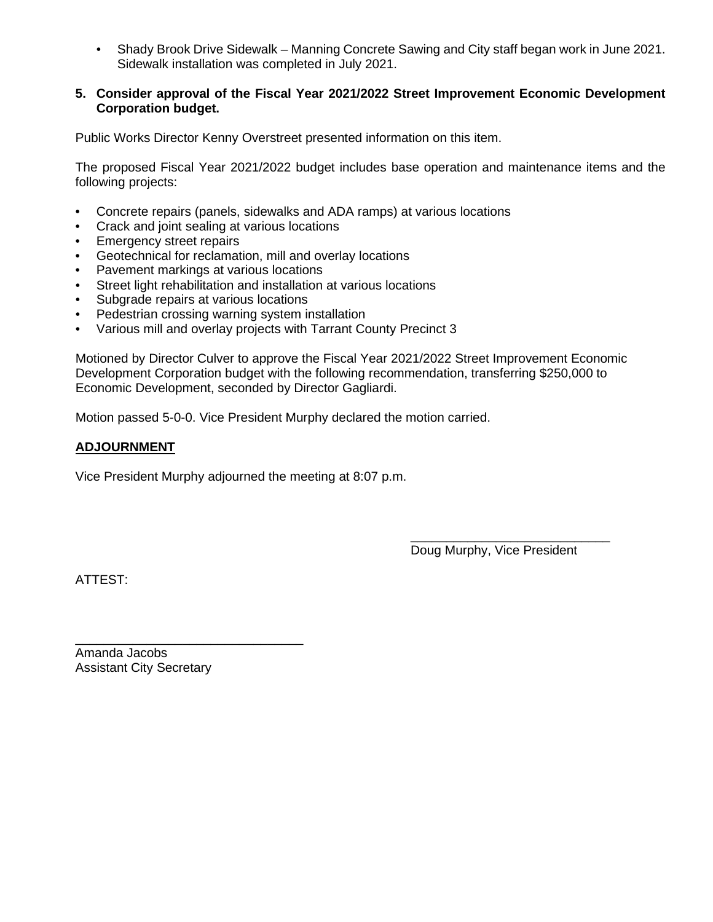• Shady Brook Drive Sidewalk – Manning Concrete Sawing and City staff began work in June 2021. Sidewalk installation was completed in July 2021.

#### **5. Consider approval of the Fiscal Year 2021/2022 Street Improvement Economic Development Corporation budget.**

Public Works Director Kenny Overstreet presented information on this item.

The proposed Fiscal Year 2021/2022 budget includes base operation and maintenance items and the following projects:

- Concrete repairs (panels, sidewalks and ADA ramps) at various locations
- Crack and joint sealing at various locations
- Emergency street repairs
- Geotechnical for reclamation, mill and overlay locations
- Pavement markings at various locations
- Street light rehabilitation and installation at various locations
- Subgrade repairs at various locations
- Pedestrian crossing warning system installation
- Various mill and overlay projects with Tarrant County Precinct 3

Motioned by Director Culver to approve the Fiscal Year 2021/2022 Street Improvement Economic Development Corporation budget with the following recommendation, transferring \$250,000 to Economic Development, seconded by Director Gagliardi.

Motion passed 5-0-0. Vice President Murphy declared the motion carried.

#### **ADJOURNMENT**

Vice President Murphy adjourned the meeting at 8:07 p.m.

\_\_\_\_\_\_\_\_\_\_\_\_\_\_\_\_\_\_\_\_\_\_\_\_\_\_\_\_ Doug Murphy, Vice President

ATTEST:

Amanda Jacobs Assistant City Secretary

\_\_\_\_\_\_\_\_\_\_\_\_\_\_\_\_\_\_\_\_\_\_\_\_\_\_\_\_\_\_\_\_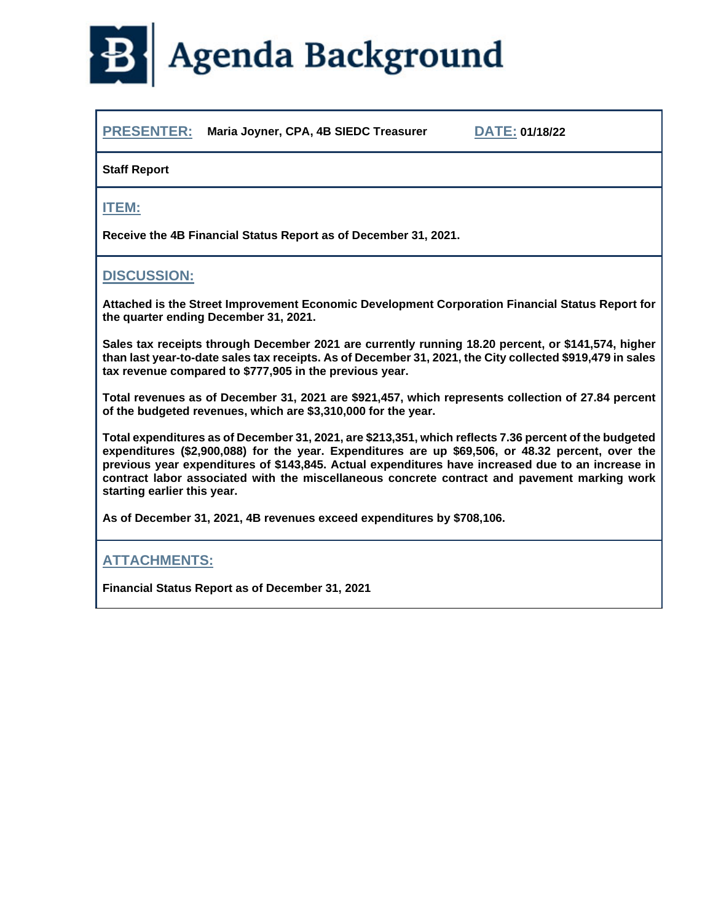

**PRESENTER: Maria Joyner, CPA, 4B SIEDC Treasurer DATE: 01/18/22**

#### **Staff Report**

#### **ITEM:**

**Receive the 4B Financial Status Report as of December 31, 2021.**

#### **DISCUSSION:**

**Attached is the Street Improvement Economic Development Corporation Financial Status Report for the quarter ending December 31, 2021.**

**Sales tax receipts through December 2021 are currently running 18.20 percent, or \$141,574, higher than last year-to-date sales tax receipts. As of December 31, 2021, the City collected \$919,479 in sales tax revenue compared to \$777,905 in the previous year.** 

**Total revenues as of December 31, 2021 are \$921,457, which represents collection of 27.84 percent of the budgeted revenues, which are \$3,310,000 for the year.**

**Total expenditures as of December 31, 2021, are \$213,351, which reflects 7.36 percent of the budgeted expenditures (\$2,900,088) for the year. Expenditures are up \$69,506, or 48.32 percent, over the previous year expenditures of \$143,845. Actual expenditures have increased due to an increase in contract labor associated with the miscellaneous concrete contract and pavement marking work starting earlier this year.** 

**As of December 31, 2021, 4B revenues exceed expenditures by \$708,106.**

#### **ATTACHMENTS:**

**Financial Status Report as of December 31, 2021**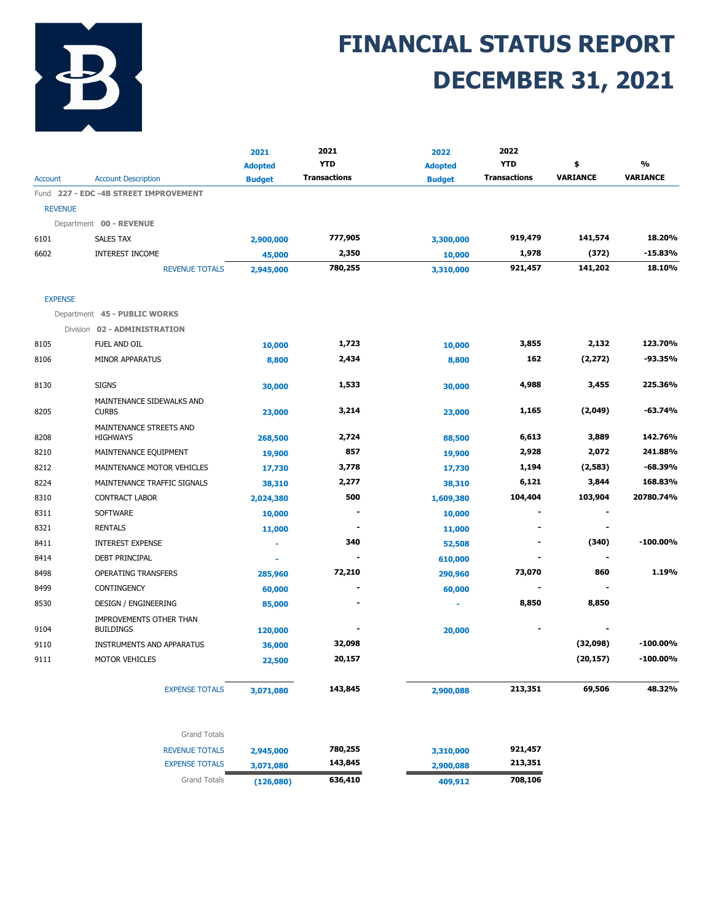

## **FINANCIAL STATUS REPORT DECEMBER 31, 2021**

| <b>YTD</b><br><b>YTD</b><br>%<br>\$<br><b>Adopted</b><br><b>Adopted</b><br><b>VARIANCE</b><br><b>Transactions</b><br><b>Transactions</b><br><b>VARIANCE</b><br>Account<br><b>Account Description</b><br><b>Budget</b><br><b>Budget</b><br>Fund 227 - EDC -4B STREET IMPROVEMENT<br><b>REVENUE</b><br>Department 00 - REVENUE<br>777,905<br>141,574<br>919,479<br>6101<br>SALES TAX<br>2,900,000<br>3,300,000<br>2,350<br>1,978<br>(372)<br>6602<br><b>INTEREST INCOME</b><br>45,000<br>10,000<br>780,255<br>921,457<br>141,202<br><b>REVENUE TOTALS</b><br>2,945,000<br>3,310,000<br><b>EXPENSE</b><br>Department 45 - PUBLIC WORKS<br>Division 02 - ADMINISTRATION<br>1,723<br>3,855<br>2,132<br>8105<br>FUEL AND OIL<br>10,000<br>10,000 |             |
|--------------------------------------------------------------------------------------------------------------------------------------------------------------------------------------------------------------------------------------------------------------------------------------------------------------------------------------------------------------------------------------------------------------------------------------------------------------------------------------------------------------------------------------------------------------------------------------------------------------------------------------------------------------------------------------------------------------------------------------------|-------------|
|                                                                                                                                                                                                                                                                                                                                                                                                                                                                                                                                                                                                                                                                                                                                            |             |
|                                                                                                                                                                                                                                                                                                                                                                                                                                                                                                                                                                                                                                                                                                                                            |             |
|                                                                                                                                                                                                                                                                                                                                                                                                                                                                                                                                                                                                                                                                                                                                            |             |
|                                                                                                                                                                                                                                                                                                                                                                                                                                                                                                                                                                                                                                                                                                                                            |             |
|                                                                                                                                                                                                                                                                                                                                                                                                                                                                                                                                                                                                                                                                                                                                            |             |
|                                                                                                                                                                                                                                                                                                                                                                                                                                                                                                                                                                                                                                                                                                                                            | 18.20%      |
|                                                                                                                                                                                                                                                                                                                                                                                                                                                                                                                                                                                                                                                                                                                                            | $-15.83%$   |
|                                                                                                                                                                                                                                                                                                                                                                                                                                                                                                                                                                                                                                                                                                                                            | 18.10%      |
|                                                                                                                                                                                                                                                                                                                                                                                                                                                                                                                                                                                                                                                                                                                                            |             |
|                                                                                                                                                                                                                                                                                                                                                                                                                                                                                                                                                                                                                                                                                                                                            |             |
|                                                                                                                                                                                                                                                                                                                                                                                                                                                                                                                                                                                                                                                                                                                                            |             |
|                                                                                                                                                                                                                                                                                                                                                                                                                                                                                                                                                                                                                                                                                                                                            | 123.70%     |
| 162<br>(2, 272)<br>2,434<br>MINOR APPARATUS<br>8106<br>8,800<br>8,800                                                                                                                                                                                                                                                                                                                                                                                                                                                                                                                                                                                                                                                                      | $-93.35%$   |
| 4,988<br><b>SIGNS</b><br>1,533<br>3,455<br>8130<br>30,000<br>30,000                                                                                                                                                                                                                                                                                                                                                                                                                                                                                                                                                                                                                                                                        | 225.36%     |
| MAINTENANCE SIDEWALKS AND<br>3,214<br>1,165<br>(2,049)<br>8205<br><b>CURBS</b><br>23,000<br>23,000                                                                                                                                                                                                                                                                                                                                                                                                                                                                                                                                                                                                                                         | $-63.74%$   |
| MAINTENANCE STREETS AND<br>2,724<br>6,613<br>3,889<br>8208<br><b>HIGHWAYS</b><br>268,500<br>88,500                                                                                                                                                                                                                                                                                                                                                                                                                                                                                                                                                                                                                                         | 142.76%     |
| 857<br>2,928<br>2,072<br>MAINTENANCE EQUIPMENT<br>8210<br>19,900<br>19,900                                                                                                                                                                                                                                                                                                                                                                                                                                                                                                                                                                                                                                                                 | 241.88%     |
| 1,194<br>3,778<br>(2,583)<br>MAINTENANCE MOTOR VEHICLES<br>8212<br>17,730<br>17,730                                                                                                                                                                                                                                                                                                                                                                                                                                                                                                                                                                                                                                                        | $-68.39%$   |
| 6,121<br>2,277<br>3,844<br>8224<br>MAINTENANCE TRAFFIC SIGNALS<br>38,310<br>38,310                                                                                                                                                                                                                                                                                                                                                                                                                                                                                                                                                                                                                                                         | 168.83%     |
| 500<br>104,404<br>103,904<br>8310<br><b>CONTRACT LABOR</b><br>1,609,380<br>2,024,380                                                                                                                                                                                                                                                                                                                                                                                                                                                                                                                                                                                                                                                       | 20780.74%   |
| <b>SOFTWARE</b><br>8311<br>10,000<br>10,000<br>٠                                                                                                                                                                                                                                                                                                                                                                                                                                                                                                                                                                                                                                                                                           |             |
| 8321<br><b>RENTALS</b><br>$\blacksquare$<br>11,000<br>11,000                                                                                                                                                                                                                                                                                                                                                                                                                                                                                                                                                                                                                                                                               |             |
| 340<br>(340)<br><b>INTEREST EXPENSE</b><br>8411<br>52,508                                                                                                                                                                                                                                                                                                                                                                                                                                                                                                                                                                                                                                                                                  | $-100.00\%$ |
| <b>DEBT PRINCIPAL</b><br>8414<br>610,000                                                                                                                                                                                                                                                                                                                                                                                                                                                                                                                                                                                                                                                                                                   |             |
| 72,210<br>73,070<br>860<br>8498<br><b>OPERATING TRANSFERS</b><br>285,960<br>290,960                                                                                                                                                                                                                                                                                                                                                                                                                                                                                                                                                                                                                                                        | 1.19%       |
| 8499<br>CONTINGENCY<br>60,000<br>60,000                                                                                                                                                                                                                                                                                                                                                                                                                                                                                                                                                                                                                                                                                                    |             |
| 8,850<br>8,850<br>8530<br><b>DESIGN / ENGINEERING</b><br>85,000<br>$\blacksquare$                                                                                                                                                                                                                                                                                                                                                                                                                                                                                                                                                                                                                                                          |             |
| IMPROVEMENTS OTHER THAN<br>9104<br><b>BUILDINGS</b><br>120,000<br>20,000                                                                                                                                                                                                                                                                                                                                                                                                                                                                                                                                                                                                                                                                   |             |
| 32,098<br>(32,098)<br>9110<br><b>INSTRUMENTS AND APPARATUS</b><br>36,000                                                                                                                                                                                                                                                                                                                                                                                                                                                                                                                                                                                                                                                                   | $-100.00\%$ |
| MOTOR VEHICLES<br>20,157<br>(20, 157)<br>9111<br>22,500                                                                                                                                                                                                                                                                                                                                                                                                                                                                                                                                                                                                                                                                                    | $-100.00%$  |
|                                                                                                                                                                                                                                                                                                                                                                                                                                                                                                                                                                                                                                                                                                                                            |             |
| 69,506<br>143,845<br>213,351<br><b>EXPENSE TOTALS</b><br>3,071,080<br>2,900,088                                                                                                                                                                                                                                                                                                                                                                                                                                                                                                                                                                                                                                                            | 48.32%      |
| <b>Grand Totals</b>                                                                                                                                                                                                                                                                                                                                                                                                                                                                                                                                                                                                                                                                                                                        |             |
| 780,255<br>921,457<br><b>REVENUE TOTALS</b><br>2,945,000<br>3,310,000                                                                                                                                                                                                                                                                                                                                                                                                                                                                                                                                                                                                                                                                      |             |
| 143,845<br>213,351<br><b>EXPENSE TOTALS</b><br>3,071,080<br>2,900,088                                                                                                                                                                                                                                                                                                                                                                                                                                                                                                                                                                                                                                                                      |             |
| 636,410<br>708,106<br><b>Grand Totals</b><br>(126,080)<br>409,912                                                                                                                                                                                                                                                                                                                                                                                                                                                                                                                                                                                                                                                                          |             |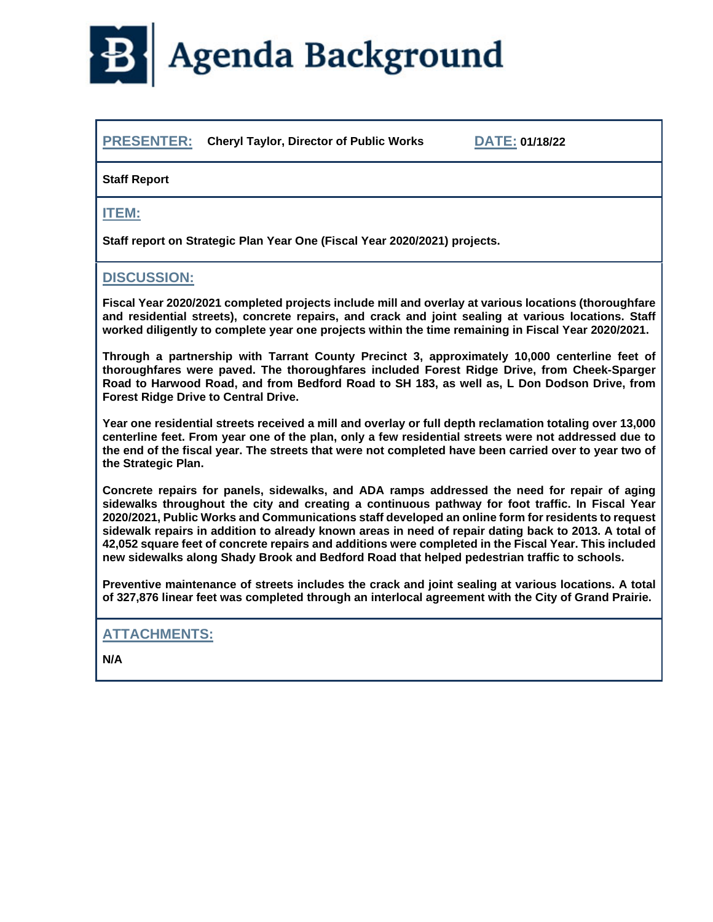

**PRESENTER: Cheryl Taylor, Director of Public Works DATE: 01/18/22**

#### **Staff Report**

#### **ITEM:**

**Staff report on Strategic Plan Year One (Fiscal Year 2020/2021) projects.**

#### **DISCUSSION:**

**Fiscal Year 2020/2021 completed projects include mill and overlay at various locations (thoroughfare and residential streets), concrete repairs, and crack and joint sealing at various locations. Staff worked diligently to complete year one projects within the time remaining in Fiscal Year 2020/2021.**

**Through a partnership with Tarrant County Precinct 3, approximately 10,000 centerline feet of thoroughfares were paved. The thoroughfares included Forest Ridge Drive, from Cheek-Sparger Road to Harwood Road, and from Bedford Road to SH 183, as well as, L Don Dodson Drive, from Forest Ridge Drive to Central Drive.**

**Year one residential streets received a mill and overlay or full depth reclamation totaling over 13,000 centerline feet. From year one of the plan, only a few residential streets were not addressed due to the end of the fiscal year. The streets that were not completed have been carried over to year two of the Strategic Plan.**

**Concrete repairs for panels, sidewalks, and ADA ramps addressed the need for repair of aging sidewalks throughout the city and creating a continuous pathway for foot traffic. In Fiscal Year 2020/2021, Public Works and Communications staff developed an online form for residents to request sidewalk repairs in addition to already known areas in need of repair dating back to 2013. A total of 42,052 square feet of concrete repairs and additions were completed in the Fiscal Year. This included new sidewalks along Shady Brook and Bedford Road that helped pedestrian traffic to schools.** 

**Preventive maintenance of streets includes the crack and joint sealing at various locations. A total of 327,876 linear feet was completed through an interlocal agreement with the City of Grand Prairie.** 

#### **ATTACHMENTS:**

**N/A**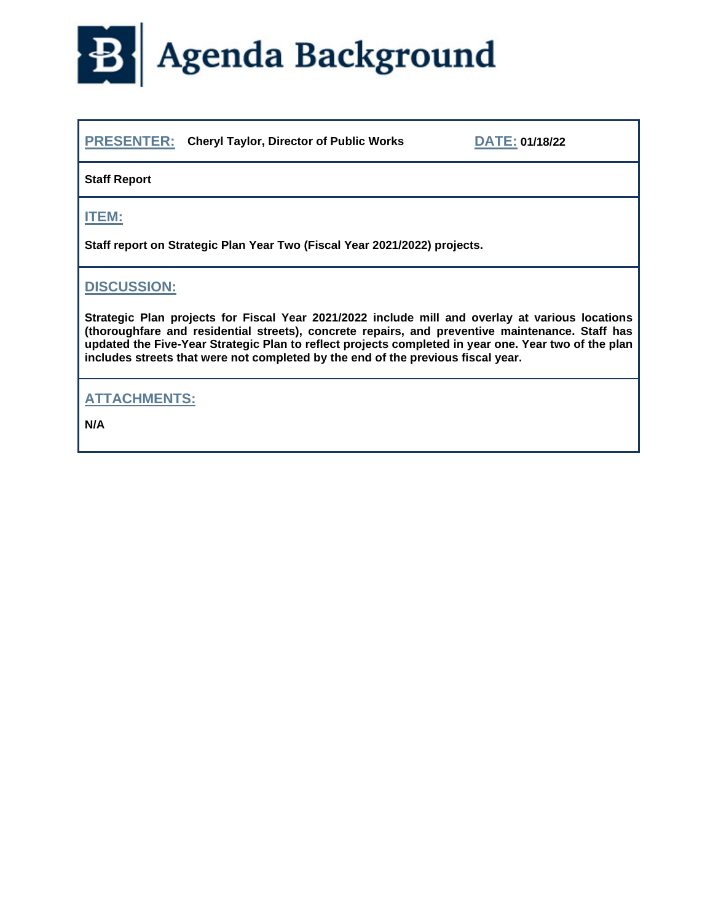## Agenda Background  $\mathbf{B}$

**PRESENTER: Cheryl Taylor, Director of Public Works DATE: 01/18/22**

#### **Staff Report**

#### **ITEM:**

**Staff report on Strategic Plan Year Two (Fiscal Year 2021/2022) projects.**

#### **DISCUSSION:**

**Strategic Plan projects for Fiscal Year 2021/2022 include mill and overlay at various locations (thoroughfare and residential streets), concrete repairs, and preventive maintenance. Staff has updated the Five-Year Strategic Plan to reflect projects completed in year one. Year two of the plan includes streets that were not completed by the end of the previous fiscal year.** 

#### **ATTACHMENTS:**

**N/A**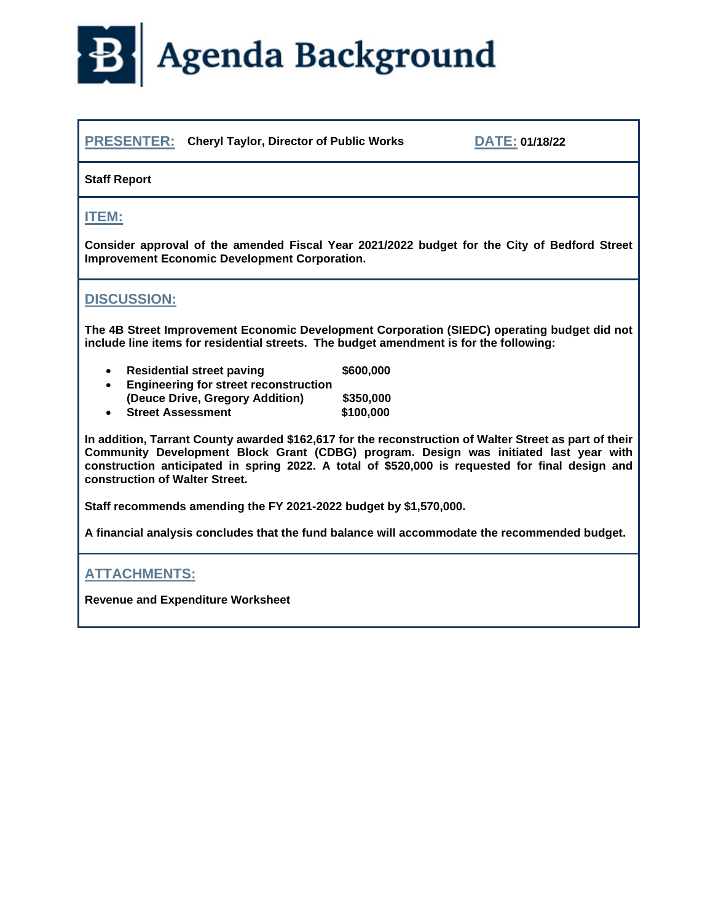# B Agenda Background

**PRESENTER: Cheryl Taylor, Director of Public Works DATE: 01/18/22**

| <b>Staff Report</b>                                                                                                                                                                   |                                                                                                                                                                                                                                                                                                    |  |  |  |  |
|---------------------------------------------------------------------------------------------------------------------------------------------------------------------------------------|----------------------------------------------------------------------------------------------------------------------------------------------------------------------------------------------------------------------------------------------------------------------------------------------------|--|--|--|--|
| <b>ITEM:</b>                                                                                                                                                                          |                                                                                                                                                                                                                                                                                                    |  |  |  |  |
| Consider approval of the amended Fiscal Year 2021/2022 budget for the City of Bedford Street<br><b>Improvement Economic Development Corporation.</b>                                  |                                                                                                                                                                                                                                                                                                    |  |  |  |  |
| <b>DISCUSSION:</b>                                                                                                                                                                    |                                                                                                                                                                                                                                                                                                    |  |  |  |  |
| The 4B Street Improvement Economic Development Corporation (SIEDC) operating budget did not<br>include line items for residential streets. The budget amendment is for the following: |                                                                                                                                                                                                                                                                                                    |  |  |  |  |
| <b>Residential street paving</b><br>$\bullet$<br><b>Engineering for street reconstruction</b>                                                                                         | \$600,000                                                                                                                                                                                                                                                                                          |  |  |  |  |
| (Deuce Drive, Gregory Addition)<br><b>Street Assessment</b>                                                                                                                           | \$350,000                                                                                                                                                                                                                                                                                          |  |  |  |  |
|                                                                                                                                                                                       | \$100,000                                                                                                                                                                                                                                                                                          |  |  |  |  |
| construction of Walter Street.                                                                                                                                                        | In addition, Tarrant County awarded \$162,617 for the reconstruction of Walter Street as part of their<br>Community Development Block Grant (CDBG) program. Design was initiated last year with<br>construction anticipated in spring 2022. A total of \$520,000 is requested for final design and |  |  |  |  |
| Staff recommends amending the FY 2021-2022 budget by \$1,570,000.                                                                                                                     |                                                                                                                                                                                                                                                                                                    |  |  |  |  |
|                                                                                                                                                                                       | A financial analysis concludes that the fund balance will accommodate the recommended budget.                                                                                                                                                                                                      |  |  |  |  |

#### **ATTACHMENTS:**

**Revenue and Expenditure Worksheet**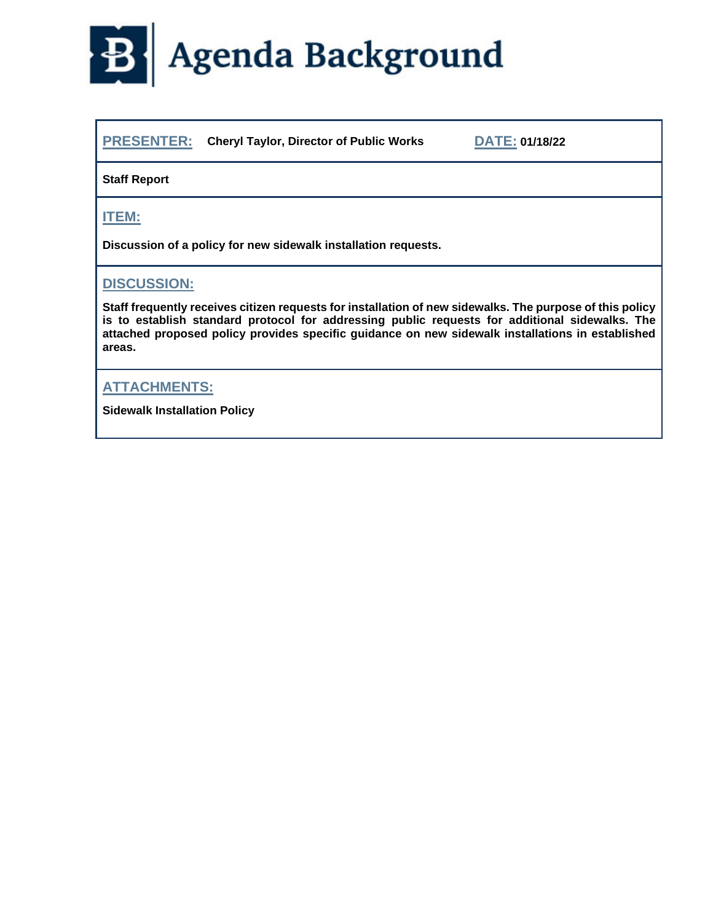

**PRESENTER: Cheryl Taylor, Director of Public Works DATE: 01/18/22**

#### **Staff Report**

**ITEM:**

**Discussion of a policy for new sidewalk installation requests.**

#### **DISCUSSION:**

**Staff frequently receives citizen requests for installation of new sidewalks. The purpose of this policy is to establish standard protocol for addressing public requests for additional sidewalks. The attached proposed policy provides specific guidance on new sidewalk installations in established areas.**

#### **ATTACHMENTS:**

**Sidewalk Installation Policy**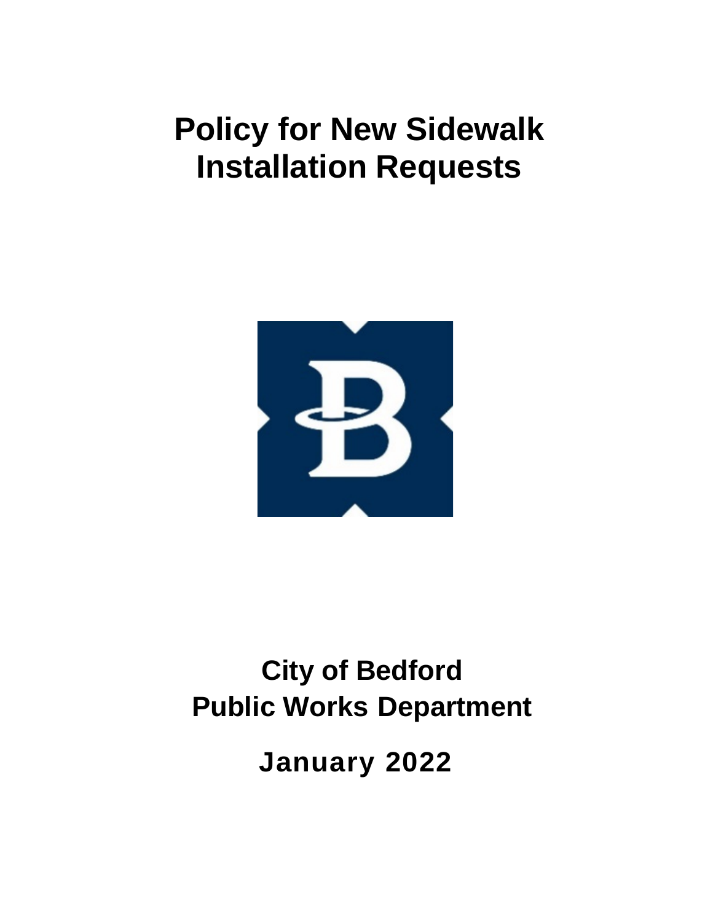## **Policy for New Sidewalk Installation Requests**



## **City of Bedford Public Works Department**

**January 2022**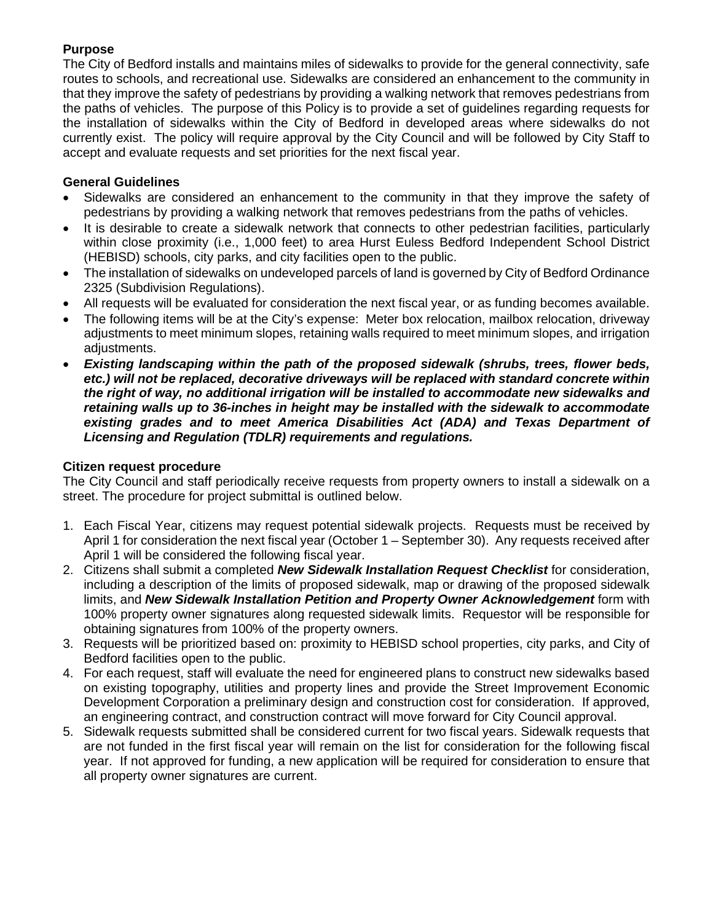#### **Purpose**

The City of Bedford installs and maintains miles of sidewalks to provide for the general connectivity, safe routes to schools, and recreational use. Sidewalks are considered an enhancement to the community in that they improve the safety of pedestrians by providing a walking network that removes pedestrians from the paths of vehicles. The purpose of this Policy is to provide a set of guidelines regarding requests for the installation of sidewalks within the City of Bedford in developed areas where sidewalks do not currently exist. The policy will require approval by the City Council and will be followed by City Staff to accept and evaluate requests and set priorities for the next fiscal year.

#### **General Guidelines**

- Sidewalks are considered an enhancement to the community in that they improve the safety of pedestrians by providing a walking network that removes pedestrians from the paths of vehicles.
- It is desirable to create a sidewalk network that connects to other pedestrian facilities, particularly within close proximity (i.e., 1,000 feet) to area Hurst Euless Bedford Independent School District (HEBISD) schools, city parks, and city facilities open to the public.
- The installation of sidewalks on undeveloped parcels of land is governed by City of Bedford Ordinance 2325 (Subdivision Regulations).
- All requests will be evaluated for consideration the next fiscal year, or as funding becomes available.
- The following items will be at the City's expense: Meter box relocation, mailbox relocation, driveway adjustments to meet minimum slopes, retaining walls required to meet minimum slopes, and irrigation adjustments.
- *Existing landscaping within the path of the proposed sidewalk (shrubs, trees, flower beds, etc.) will not be replaced, decorative driveways will be replaced with standard concrete within the right of way, no additional irrigation will be installed to accommodate new sidewalks and retaining walls up to 36-inches in height may be installed with the sidewalk to accommodate existing grades and to meet America Disabilities Act (ADA) and Texas Department of Licensing and Regulation (TDLR) requirements and regulations.*

#### **Citizen request procedure**

The City Council and staff periodically receive requests from property owners to install a sidewalk on a street. The procedure for project submittal is outlined below.

- 1. Each Fiscal Year, citizens may request potential sidewalk projects. Requests must be received by April 1 for consideration the next fiscal year (October 1 – September 30). Any requests received after April 1 will be considered the following fiscal year.
- 2. Citizens shall submit a completed *New Sidewalk Installation Request Checklist* for consideration, including a description of the limits of proposed sidewalk, map or drawing of the proposed sidewalk limits, and *New Sidewalk Installation Petition and Property Owner Acknowledgement* form with 100% property owner signatures along requested sidewalk limits. Requestor will be responsible for obtaining signatures from 100% of the property owners.
- 3. Requests will be prioritized based on: proximity to HEBISD school properties, city parks, and City of Bedford facilities open to the public.
- 4. For each request, staff will evaluate the need for engineered plans to construct new sidewalks based on existing topography, utilities and property lines and provide the Street Improvement Economic Development Corporation a preliminary design and construction cost for consideration. If approved, an engineering contract, and construction contract will move forward for City Council approval.
- 5. Sidewalk requests submitted shall be considered current for two fiscal years. Sidewalk requests that are not funded in the first fiscal year will remain on the list for consideration for the following fiscal year. If not approved for funding, a new application will be required for consideration to ensure that all property owner signatures are current.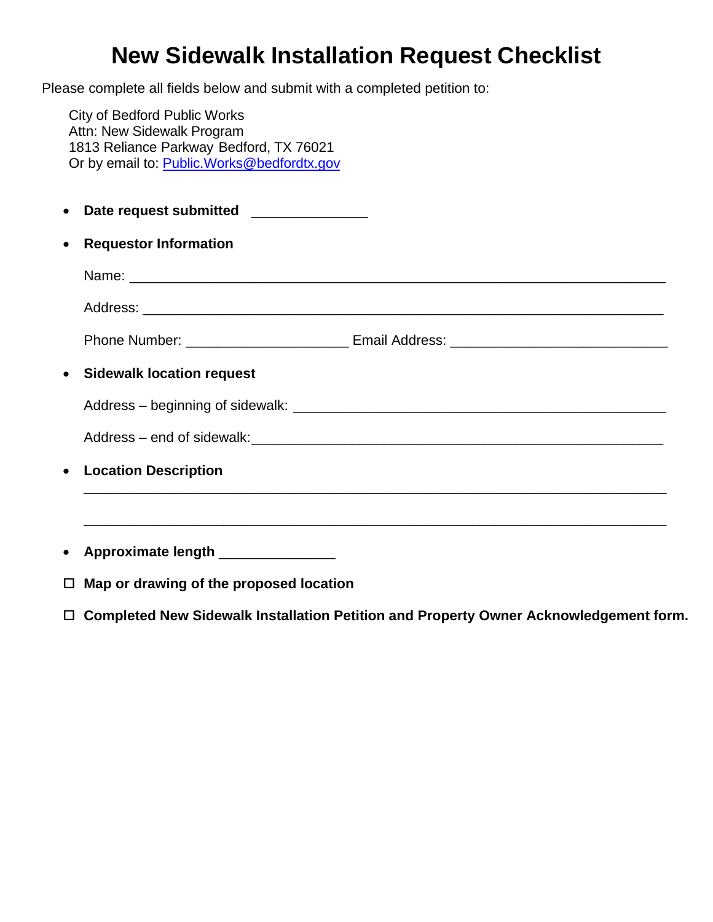## **New Sidewalk Installation Request Checklist**

Please complete all fields below and submit with a completed petition to:

City of Bedford Public Works Attn: New Sidewalk Program 1813 Reliance Parkway Bedford, TX 76021 Or by email to: Public.Works@bedfordtx.gov

| $\bullet$ | Date request submitted _____________    |  |  |  |  |
|-----------|-----------------------------------------|--|--|--|--|
| $\bullet$ | <b>Requestor Information</b>            |  |  |  |  |
|           |                                         |  |  |  |  |
|           |                                         |  |  |  |  |
|           |                                         |  |  |  |  |
| $\bullet$ | <b>Sidewalk location request</b>        |  |  |  |  |
|           |                                         |  |  |  |  |
|           |                                         |  |  |  |  |
| $\bullet$ | <b>Location Description</b>             |  |  |  |  |
|           |                                         |  |  |  |  |
|           | Approximate length ______________       |  |  |  |  |
| $\Box$    | Map or drawing of the proposed location |  |  |  |  |

**Completed New Sidewalk Installation Petition and Property Owner Acknowledgement form.**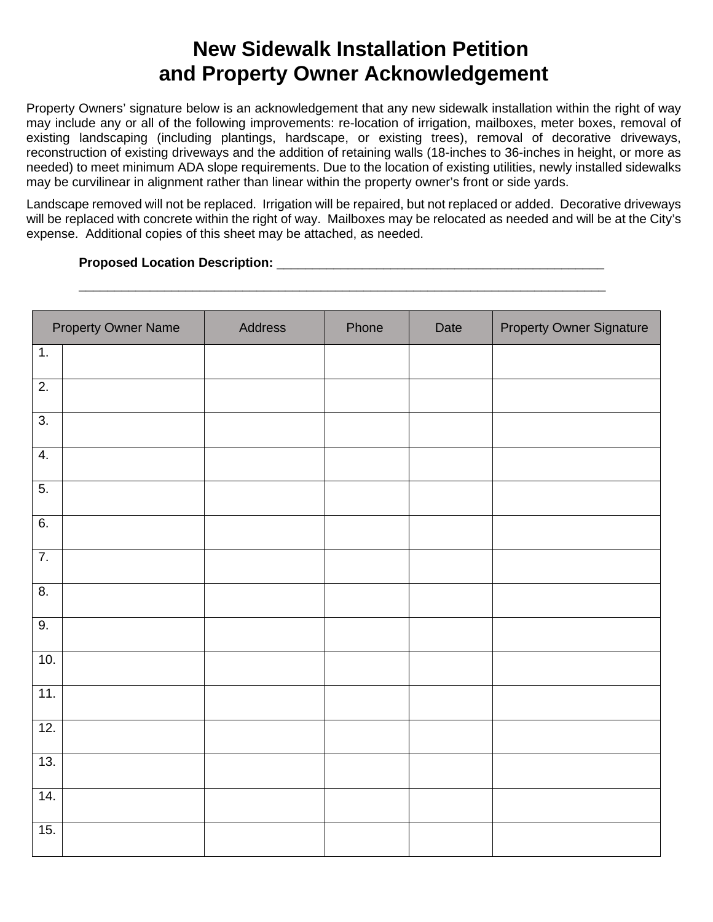## **New Sidewalk Installation Petition and Property Owner Acknowledgement**

Property Owners' signature below is an acknowledgement that any new sidewalk installation within the right of way may include any or all of the following improvements: re-location of irrigation, mailboxes, meter boxes, removal of existing landscaping (including plantings, hardscape, or existing trees), removal of decorative driveways, reconstruction of existing driveways and the addition of retaining walls (18-inches to 36-inches in height, or more as needed) to meet minimum ADA slope requirements. Due to the location of existing utilities, newly installed sidewalks may be curvilinear in alignment rather than linear within the property owner's front or side yards.

Landscape removed will not be replaced. Irrigation will be repaired, but not replaced or added. Decorative driveways will be replaced with concrete within the right of way. Mailboxes may be relocated as needed and will be at the City's expense. Additional copies of this sheet may be attached, as needed.

\_\_\_\_\_\_\_\_\_\_\_\_\_\_\_\_\_\_\_\_\_\_\_\_\_\_\_\_\_\_\_\_\_\_\_\_\_\_\_\_\_\_\_\_\_\_\_\_\_\_\_\_\_\_\_\_\_\_\_\_\_\_\_\_\_\_\_\_\_\_\_\_\_\_

#### **Proposed Location Description: Description: with a set of the set of the set of the set of the set of the set of the set of the set of the set of the set of the set of the set of the set of the set of the set of the s**

| <b>Property Owner Name</b> | Address | Phone | Date | <b>Property Owner Signature</b> |
|----------------------------|---------|-------|------|---------------------------------|
| 1.                         |         |       |      |                                 |
| $\overline{2}$ .           |         |       |      |                                 |
| $\overline{3}$ .           |         |       |      |                                 |
| $\overline{4}$ .           |         |       |      |                                 |
| 5.                         |         |       |      |                                 |
| $\overline{6}$ .           |         |       |      |                                 |
| $\overline{7}$ .           |         |       |      |                                 |
| $\overline{8}$ .           |         |       |      |                                 |
| $\overline{9}$ .           |         |       |      |                                 |
| 10.                        |         |       |      |                                 |
| 11.                        |         |       |      |                                 |
| 12.                        |         |       |      |                                 |
| 13.                        |         |       |      |                                 |
| 14.                        |         |       |      |                                 |
| 15.                        |         |       |      |                                 |